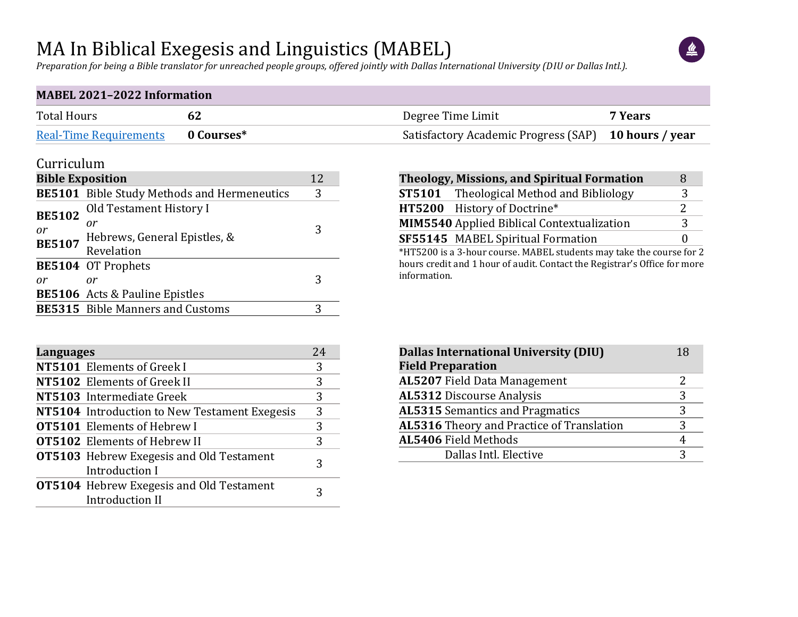### MA In Biblical Exegesis and Linguistics (MABEL)

 $\left( \frac{u}{2} \right)$ 

*Preparation for being a Bible translator for unreached people groups, offered jointly with Dallas International University (DIU or Dallas Intl.).*

#### **MABEL 2021–2022 Information**

| <b>Total Hours</b>                | Degree Time Limit                                    | 7 Years |
|-----------------------------------|------------------------------------------------------|---------|
| Real-Time Requirements 0 Courses* | Satisfactory Academic Progress (SAP) 10 hours / year |         |

#### Curriculum

| <b>Bible Exposition</b> |                                                    |   |  |  |  |  |
|-------------------------|----------------------------------------------------|---|--|--|--|--|
|                         | <b>BE5101</b> Bible Study Methods and Hermeneutics | 3 |  |  |  |  |
| <b>BE5102</b>           | Old Testament History I                            |   |  |  |  |  |
| or                      | or<br>Hebrews, General Epistles, &                 |   |  |  |  |  |
| <b>BE5107</b>           | Revelation                                         |   |  |  |  |  |
|                         | <b>BE5104</b> OT Prophets                          |   |  |  |  |  |
| or                      | or                                                 | 3 |  |  |  |  |
|                         | <b>BE5106</b> Acts & Pauline Epistles              |   |  |  |  |  |
|                         | <b>BE5315</b> Bible Manners and Customs            |   |  |  |  |  |

| <b>Theology, Missions, and Spiritual Formation</b> | 8            |
|----------------------------------------------------|--------------|
| <b>ST5101</b> Theological Method and Bibliology    | 3            |
| HT5200 History of Doctrine*                        |              |
| MIM5540 Applied Biblical Contextualization         | 2            |
| SF55145 MABEL Spiritual Formation                  | $\mathbf{0}$ |

\*HT5200 is a 3-hour course. MABEL students may take the course for 2 hours credit and 1 hour of audit. Contact the Registrar's Office for more information.

| <b>Languages</b> |                                                                           | 24 |
|------------------|---------------------------------------------------------------------------|----|
|                  | NT5101 Elements of Greek I                                                | 3  |
|                  | NT5102 Elements of Greek II                                               | 3  |
|                  | NT5103 Intermediate Greek                                                 | 3  |
|                  | NT5104 Introduction to New Testament Exegesis                             | 3  |
|                  | <b>OT5101</b> Elements of Hebrew I                                        | 3  |
|                  | <b>OT5102</b> Elements of Hebrew II                                       | 3  |
|                  | <b>OT5103</b> Hebrew Exegesis and Old Testament<br>Introduction I         | З  |
|                  | <b>OT5104</b> Hebrew Exegesis and Old Testament<br><b>Introduction II</b> | 3  |

| <b>Dallas International University (DIU)</b>     | 18 |
|--------------------------------------------------|----|
| <b>Field Preparation</b>                         |    |
| <b>AL5207 Field Data Management</b>              | 2  |
| <b>AL5312 Discourse Analysis</b>                 | 3  |
| <b>AL5315</b> Semantics and Pragmatics           | 3  |
| <b>AL5316</b> Theory and Practice of Translation | 3  |
| AL5406 Field Methods                             | 4  |
| Dallas Intl. Elective                            | 3  |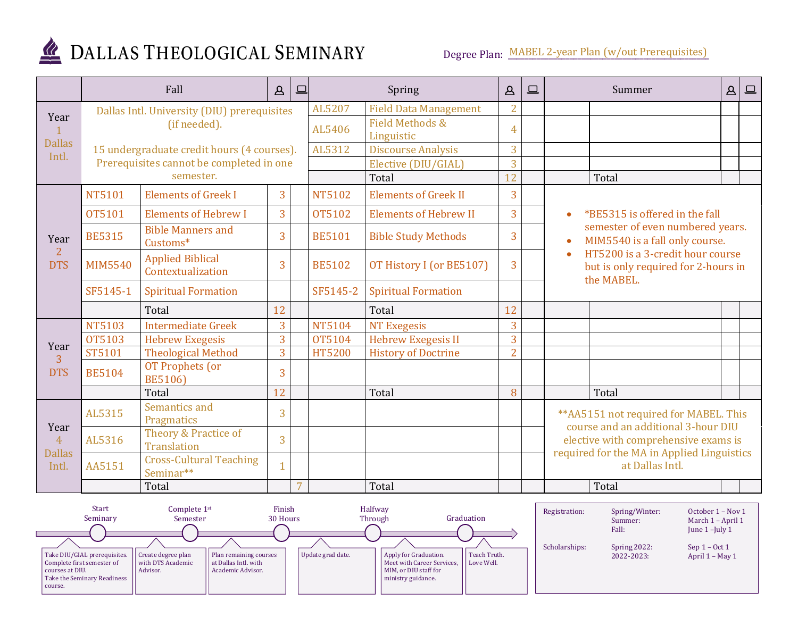

# DALLAS THEOLOGICAL SEMINARY

Degree Plan: MABEL 2-year Plan (w/out Prerequisites)

|                                         |                                             | Fall                                         | $\Delta$ | $\Box$                                   |                              | Spring                       | $\Delta$       | $\square$ | Summer<br>$\Delta$                                                                                                                                                  |  | $\boxed{\square}$ |  |
|-----------------------------------------|---------------------------------------------|----------------------------------------------|----------|------------------------------------------|------------------------------|------------------------------|----------------|-----------|---------------------------------------------------------------------------------------------------------------------------------------------------------------------|--|-------------------|--|
| Year                                    | Dallas Intl. University (DIU) prerequisites |                                              |          | AL5207                                   | <b>Field Data Management</b> | $\overline{2}$               |                |           |                                                                                                                                                                     |  |                   |  |
| <b>Dallas</b><br>Intl.                  |                                             | (if needed).                                 | AL5406   | <b>Field Methods &amp;</b><br>Linguistic | $\overline{4}$               |                              |                |           |                                                                                                                                                                     |  |                   |  |
|                                         |                                             | 15 undergraduate credit hours (4 courses).   |          |                                          | AL5312                       | <b>Discourse Analysis</b>    | 3              |           |                                                                                                                                                                     |  |                   |  |
|                                         |                                             | Prerequisites cannot be completed in one     |          | Elective (DIU/GIAL)                      | 3                            |                              |                |           |                                                                                                                                                                     |  |                   |  |
|                                         |                                             | semester.                                    |          |                                          |                              | Total                        | 12             |           | Total                                                                                                                                                               |  |                   |  |
|                                         | <b>NT5101</b>                               | <b>Elements of Greek I</b>                   | 3        |                                          | <b>NT5102</b>                | <b>Elements of Greek II</b>  | 3              |           |                                                                                                                                                                     |  |                   |  |
|                                         | OT5101                                      | <b>Elements of Hebrew I</b>                  | 3        |                                          | <b>OT5102</b>                | <b>Elements of Hebrew II</b> | 3              |           | *BE5315 is offered in the fall                                                                                                                                      |  |                   |  |
| Year                                    | <b>BE5315</b>                               | <b>Bible Manners and</b><br>Customs*         | 3        |                                          | <b>BE5101</b>                | <b>Bible Study Methods</b>   | 3              |           | semester of even numbered years.<br>MIM5540 is a fall only course.                                                                                                  |  |                   |  |
| $\overline{2}$<br><b>DTS</b>            | <b>MIM5540</b>                              | <b>Applied Biblical</b><br>Contextualization | 3        |                                          | <b>BE5102</b>                | OT History I (or BE5107)     | 3              |           | HT5200 is a 3-credit hour course<br>but is only required for 2-hours in<br>the MABEL.                                                                               |  |                   |  |
|                                         | SF5145-1                                    | <b>Spiritual Formation</b>                   |          |                                          | SF5145-2                     | <b>Spiritual Formation</b>   |                |           |                                                                                                                                                                     |  |                   |  |
|                                         |                                             | Total                                        | 12       |                                          |                              | Total                        | 12             |           |                                                                                                                                                                     |  |                   |  |
|                                         | <b>NT5103</b>                               | <b>Intermediate Greek</b>                    | 3        |                                          | NT5104                       | <b>NT Exegesis</b>           | 3              |           |                                                                                                                                                                     |  |                   |  |
| Year                                    | <b>OT5103</b>                               | <b>Hebrew Exegesis</b>                       | 3        |                                          | <b>OT5104</b>                | <b>Hebrew Exegesis II</b>    | $\overline{3}$ |           |                                                                                                                                                                     |  |                   |  |
| $\overline{3}$                          | ST5101                                      | <b>Theological Method</b>                    | 3        |                                          | <b>HT5200</b>                | <b>History of Doctrine</b>   | $\overline{2}$ |           |                                                                                                                                                                     |  |                   |  |
| <b>DTS</b>                              | <b>BE5104</b>                               | OT Prophets (or<br><b>BE5106)</b>            | 3        |                                          |                              |                              |                |           |                                                                                                                                                                     |  |                   |  |
|                                         |                                             | Total                                        | 12       |                                          |                              | Total                        | 8              |           | Total                                                                                                                                                               |  |                   |  |
| Year<br>$\overline{4}$<br><b>Dallas</b> | AL5315                                      | Semantics and<br>Pragmatics                  | 3        |                                          |                              |                              |                |           | ** AA5151 not required for MABEL. This<br>course and an additional 3-hour DIU<br>elective with comprehensive exams is<br>required for the MA in Applied Linguistics |  |                   |  |
|                                         | AL5316                                      | Theory & Practice of<br><b>Translation</b>   | 3        |                                          |                              |                              |                |           |                                                                                                                                                                     |  |                   |  |
| Intl.                                   | AA5151                                      | <b>Cross-Cultural Teaching</b><br>Seminar**  |          |                                          |                              |                              |                |           | at Dallas Intl.                                                                                                                                                     |  |                   |  |
|                                         |                                             | Total                                        |          | $\overline{7}$                           |                              | Total                        |                |           | Total                                                                                                                                                               |  |                   |  |

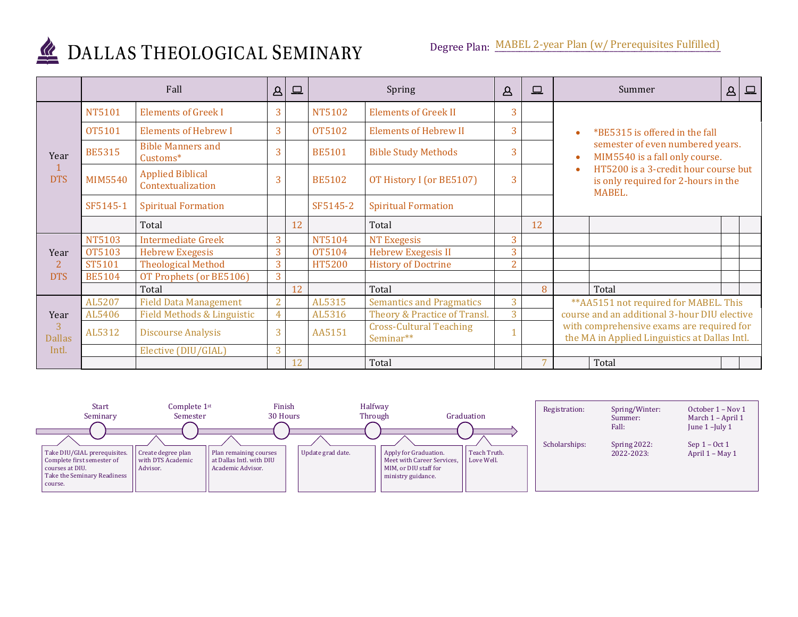

## DALLAS THEOLOGICAL SEMINARY

|                            |                | Fall                                         | $\Delta$       | $\square$ |               | Spring                                      | $\Delta$       | $\square$ | Summer<br>$\qquad \qquad \Box$<br>Δ                                                        |
|----------------------------|----------------|----------------------------------------------|----------------|-----------|---------------|---------------------------------------------|----------------|-----------|--------------------------------------------------------------------------------------------|
| Year<br><b>DTS</b>         | <b>NT5101</b>  | <b>Elements of Greek I</b>                   | 3              |           | <b>NT5102</b> | <b>Elements of Greek II</b>                 | 3              |           |                                                                                            |
|                            | <b>OT5101</b>  | <b>Elements of Hebrew I</b>                  | 3              |           | OT5102        | <b>Elements of Hebrew II</b>                | 3              |           | *BE5315 is offered in the fall                                                             |
|                            | <b>BE5315</b>  | <b>Bible Manners and</b><br>Customs*         | 3              |           | <b>BE5101</b> | <b>Bible Study Methods</b>                  | 3              |           | semester of even numbered years.<br>MIM5540 is a fall only course.                         |
|                            | <b>MIM5540</b> | <b>Applied Biblical</b><br>Contextualization | 3              |           | <b>BE5102</b> | OT History I (or BE5107)                    | 3              |           | HT5200 is a 3-credit hour course but<br>is only required for 2-hours in the<br>MABEL.      |
|                            | SF5145-1       | <b>Spiritual Formation</b>                   |                |           | SF5145-2      | <b>Spiritual Formation</b>                  |                |           |                                                                                            |
|                            |                | Total                                        |                | 12        |               | Total                                       |                | 12        |                                                                                            |
|                            | <b>NT5103</b>  | <b>Intermediate Greek</b>                    | 3              |           | <b>NT5104</b> | NT Exegesis                                 | 3              |           |                                                                                            |
| Year                       | OT5103         | <b>Hebrew Exegesis</b>                       | 3              |           | OT5104        | <b>Hebrew Exegesis II</b>                   | 3              |           |                                                                                            |
| $\overline{2}$             | ST5101         | <b>Theological Method</b>                    | 3              |           | <b>HT5200</b> | <b>History of Doctrine</b>                  | $\overline{2}$ |           |                                                                                            |
| <b>DTS</b>                 | <b>BE5104</b>  | OT Prophets (or BE5106)                      | 3              |           |               |                                             |                |           |                                                                                            |
|                            |                | Total                                        |                | 12        |               | Total                                       |                | 8         | Total                                                                                      |
|                            | AL5207         | <b>Field Data Management</b>                 | $\overline{2}$ |           | AL5315        | <b>Semantics and Pragmatics</b>             | 3              |           | ** AA5151 not required for MABEL. This                                                     |
| Year<br>3<br><b>Dallas</b> | AL5406         | Field Methods & Linguistic                   |                |           | AL5316        | Theory & Practice of Transl.                | 3              |           | course and an additional 3-hour DIU elective                                               |
|                            | AL5312         | <b>Discourse Analysis</b>                    | 3              |           | AA5151        | <b>Cross-Cultural Teaching</b><br>Seminar** |                |           | with comprehensive exams are required for<br>the MA in Applied Linguistics at Dallas Intl. |
| Intl.                      |                | Elective (DIU/GIAL)                          | 3              |           |               |                                             |                |           |                                                                                            |
|                            |                |                                              |                | 12        |               | Total                                       |                | 7         | Total                                                                                      |